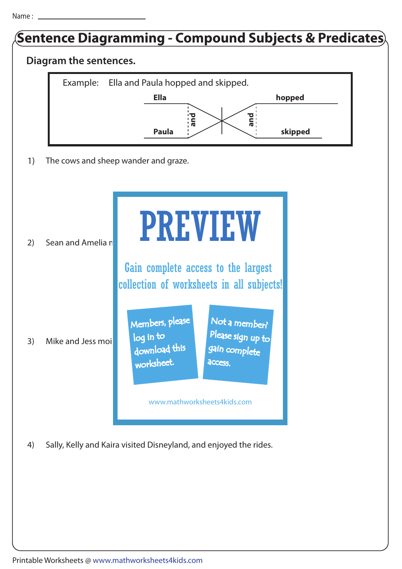